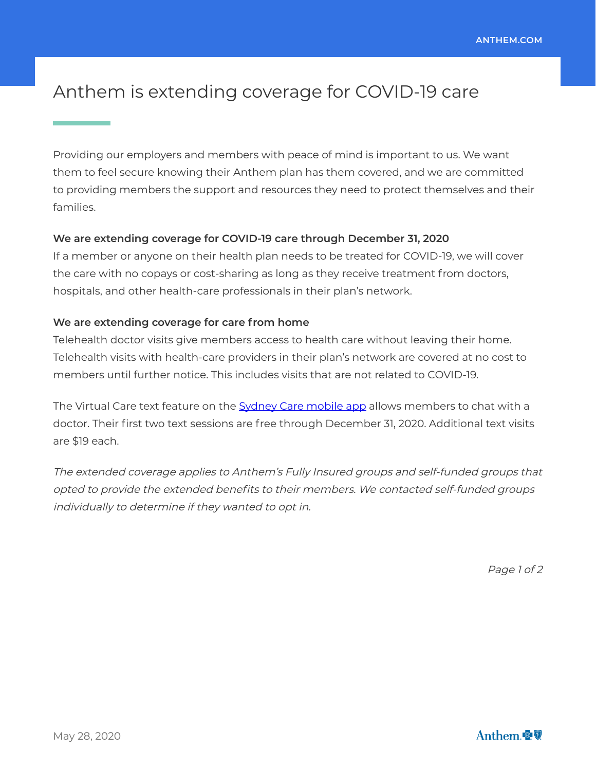# Anthem is extending coverage for COVID-19 care

Providing our employers and members with peace of mind is important to us. We want them to feel secure knowing their Anthem plan has them covered, and we are committed to providing members the support and resources they need to protect themselves and their families.

### **We are extending coverage for COVID-19 care through December 31, 2020**

If a member or anyone on their health plan needs to be treated for COVID-19, we will cover the care with no copays or cost-sharing as long as they receive treatment from doctors, hospitals, and other health-care professionals in their plan's network.

#### **We are extending coverage for care from home**

Telehealth doctor visits give members access to health care without leaving their home. Telehealth visits with health-care providers in their plan's network are covered at no cost to members until further notice. This includes visits that are not related to COVID-19.

The Virtual Care text feature on t[he Sydney Care mobile app allo](https://sydneycare.ai/)ws members to chat with a doctor. Their first two text sessions are free through December 31, 2020. Additional text visits are \$19 each.

The extended coverage applies to Anthem's Fully Insured groups and self-funded groups that opted to provide the extended benefits to their members. We contacted self-funded groups individually to determine if they wanted to opt in.

Page 1 of 2